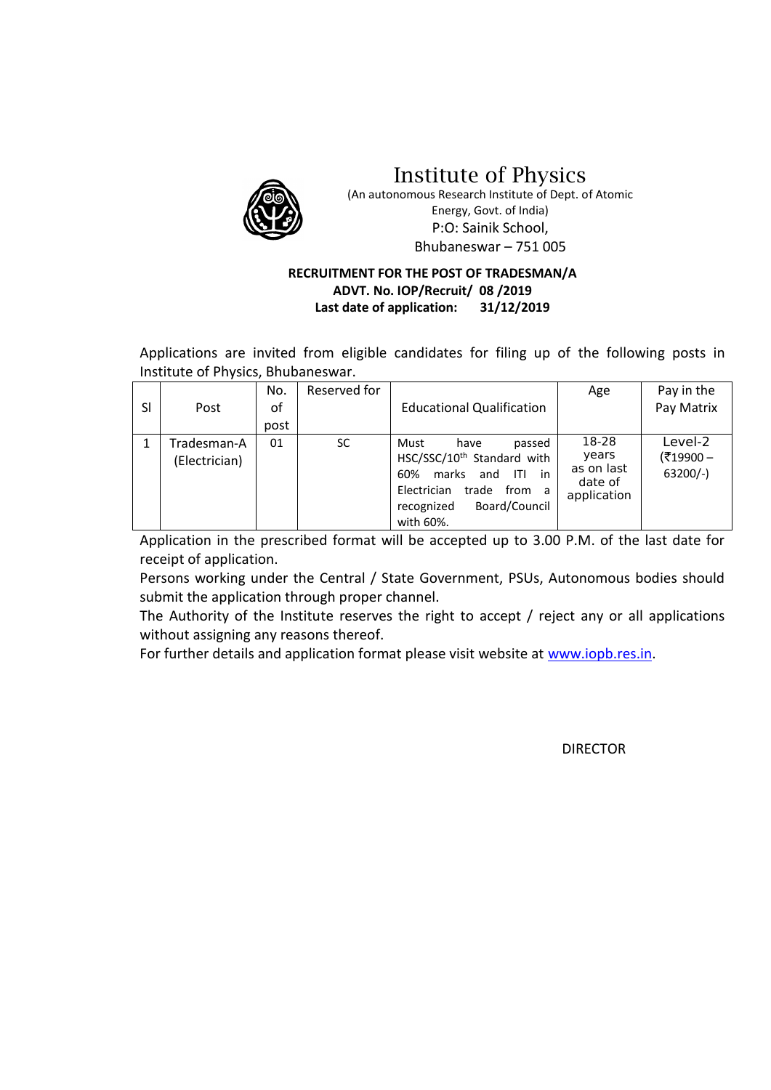

Institute of Physics

(An autonomous Research Institute of Dept. of Atomic Energy, Govt. of India) P:O: Sainik School, Bhubaneswar – 751 005

# **RECRUITMENT FOR THE POST OF TRADESMAN/A ADVT. No. IOP/Recruit/ 08 /2019 Last date of application: 31/12/2019**

Applications are invited from eligible candidates for filing up of the following posts in Institute of Physics, Bhubaneswar.

| <sub>SI</sub> | Post                         | No.<br>οf<br>post | Reserved for | <b>Educational Qualification</b>                                                                                                                                                      | Age                                                    | Pay in the<br>Pay Matrix         |
|---------------|------------------------------|-------------------|--------------|---------------------------------------------------------------------------------------------------------------------------------------------------------------------------------------|--------------------------------------------------------|----------------------------------|
|               | Tradesman-A<br>(Electrician) | 01                | <b>SC</b>    | Must<br>passed<br>have<br>HSC/SSC/10 <sup>th</sup> Standard with<br>marks<br>60%<br>and<br>in<br>ITI<br>Electrician<br>trade<br>from<br>a<br>Board/Council<br>recognized<br>with 60%. | 18-28<br>years<br>as on last<br>date of<br>application | Level-2<br>(₹19900-<br>$63200/-$ |

Application in the prescribed format will be accepted up to 3.00 P.M. of the last date for receipt of application.

Persons working under the Central / State Government, PSUs, Autonomous bodies should submit the application through proper channel.

The Authority of the Institute reserves the right to accept / reject any or all applications without assigning any reasons thereof.

For further details and application format please visit website at [www.iopb.res.in.](http://www.iopb.res.in/)

DIRECTOR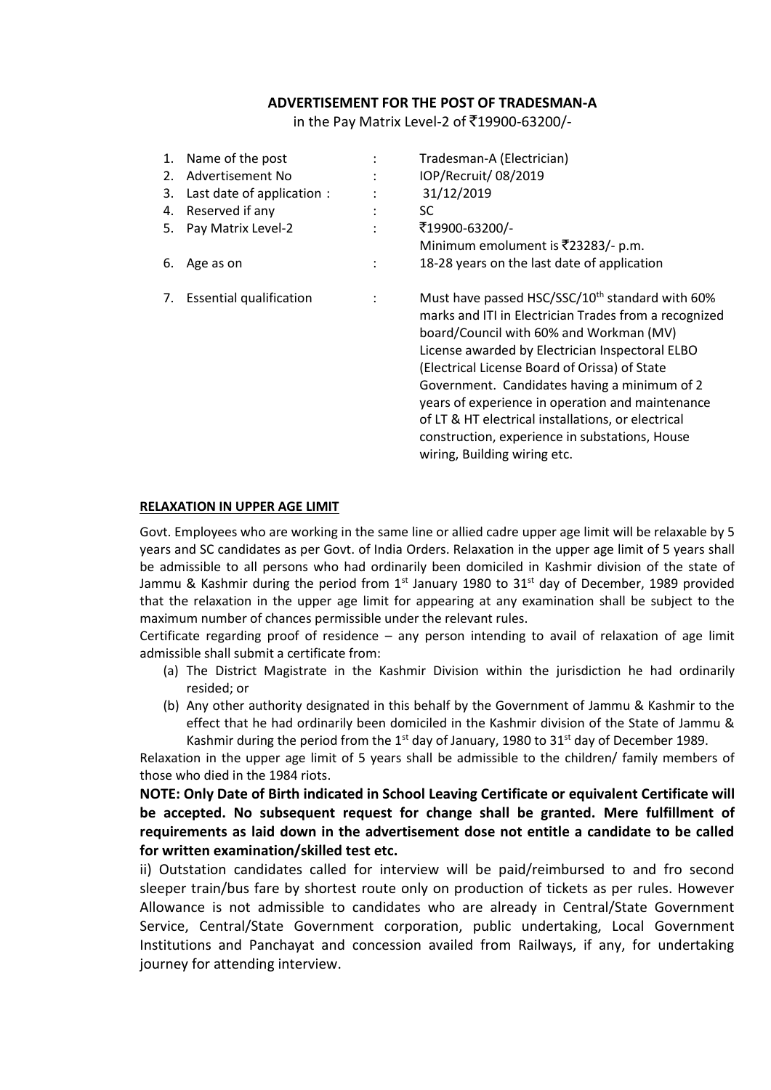#### **ADVERTISEMENT FOR THE POST OF TRADESMAN-A**

in the Pay Matrix Level-2 of ₹19900-63200/-

| 1. | Name of the post               |                | Tradesman-A (Electrician)                                   |
|----|--------------------------------|----------------|-------------------------------------------------------------|
| 2. | Advertisement No               |                | IOP/Recruit/ 08/2019                                        |
| 3. | Last date of application :     |                | 31/12/2019                                                  |
| 4. | Reserved if any                |                | SC.                                                         |
| 5. | Pay Matrix Level-2             | ٠              | ₹19900-63200/-                                              |
|    |                                |                | Minimum emolument is ₹23283/- p.m.                          |
| 6. | Age as on                      | $\ddot{\cdot}$ | 18-28 years on the last date of application                 |
| 7. | <b>Essential qualification</b> |                | Must have passed HSC/SSC/10 <sup>th</sup> standard with 60% |
|    |                                |                | marks and ITI in Electrician Trades from a recognized       |
|    |                                |                | board/Council with 60% and Workman (MV)                     |
|    |                                |                | License awarded by Electrician Inspectoral ELBO             |
|    |                                |                | (Electrical License Board of Orissa) of State               |
|    |                                |                | Government. Candidates having a minimum of 2                |
|    |                                |                | years of experience in operation and maintenance            |
|    |                                |                | of LT & HT electrical installations, or electrical          |
|    |                                |                | construction, experience in substations, House              |
|    |                                |                | wiring, Building wiring etc.                                |

#### **RELAXATION IN UPPER AGE LIMIT**

Govt. Employees who are working in the same line or allied cadre upper age limit will be relaxable by 5 years and SC candidates as per Govt. of India Orders. Relaxation in the upper age limit of 5 years shall be admissible to all persons who had ordinarily been domiciled in Kashmir division of the state of Jammu & Kashmir during the period from  $1<sup>st</sup>$  January 1980 to 31 $<sup>st</sup>$  day of December, 1989 provided</sup> that the relaxation in the upper age limit for appearing at any examination shall be subject to the maximum number of chances permissible under the relevant rules.

Certificate regarding proof of residence – any person intending to avail of relaxation of age limit admissible shall submit a certificate from:

- (a) The District Magistrate in the Kashmir Division within the jurisdiction he had ordinarily resided; or
- (b) Any other authority designated in this behalf by the Government of Jammu & Kashmir to the effect that he had ordinarily been domiciled in the Kashmir division of the State of Jammu & Kashmir during the period from the 1<sup>st</sup> day of January, 1980 to 31<sup>st</sup> day of December 1989.

Relaxation in the upper age limit of 5 years shall be admissible to the children/ family members of those who died in the 1984 riots.

**NOTE: Only Date of Birth indicated in School Leaving Certificate or equivalent Certificate will be accepted. No subsequent request for change shall be granted. Mere fulfillment of requirements as laid down in the advertisement dose not entitle a candidate to be called for written examination/skilled test etc.** 

ii) Outstation candidates called for interview will be paid/reimbursed to and fro second sleeper train/bus fare by shortest route only on production of tickets as per rules. However Allowance is not admissible to candidates who are already in Central/State Government Service, Central/State Government corporation, public undertaking, Local Government Institutions and Panchayat and concession availed from Railways, if any, for undertaking journey for attending interview.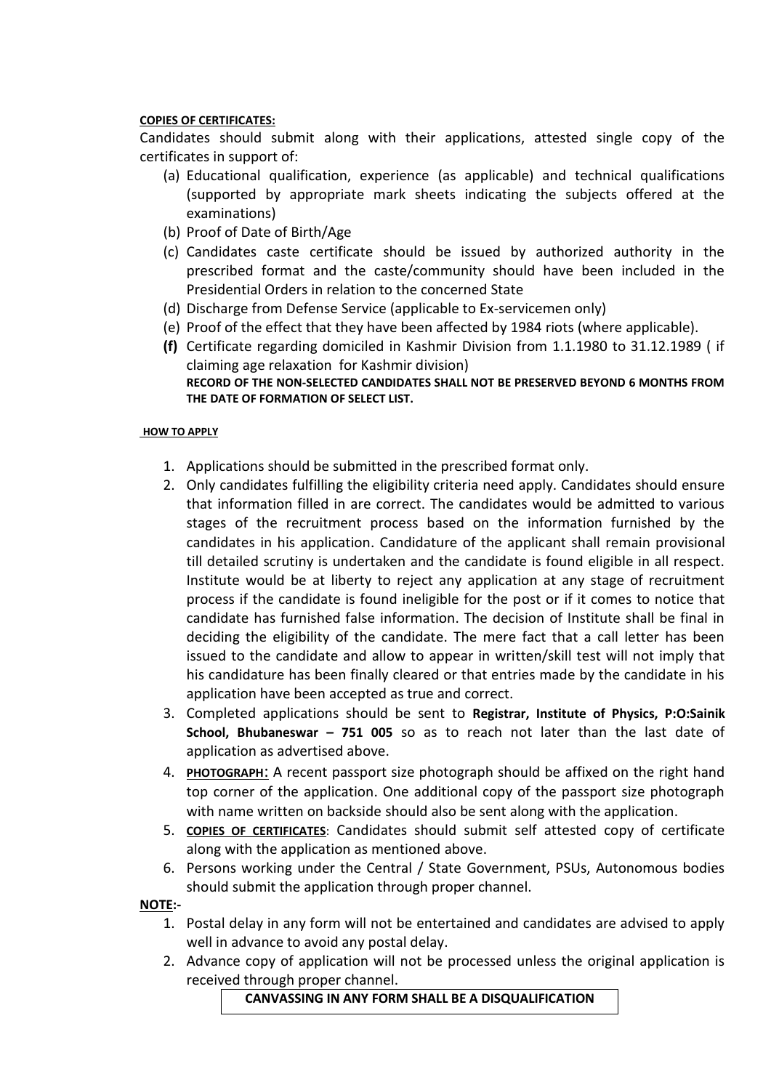# **COPIES OF CERTIFICATES:**

Candidates should submit along with their applications, attested single copy of the certificates in support of:

- (a) Educational qualification, experience (as applicable) and technical qualifications (supported by appropriate mark sheets indicating the subjects offered at the examinations)
- (b) Proof of Date of Birth/Age
- (c) Candidates caste certificate should be issued by authorized authority in the prescribed format and the caste/community should have been included in the Presidential Orders in relation to the concerned State
- (d) Discharge from Defense Service (applicable to Ex-servicemen only)
- (e) Proof of the effect that they have been affected by 1984 riots (where applicable).
- **(f)** Certificate regarding domiciled in Kashmir Division from 1.1.1980 to 31.12.1989 ( if claiming age relaxation for Kashmir division) **RECORD OF THE NON-SELECTED CANDIDATES SHALL NOT BE PRESERVED BEYOND 6 MONTHS FROM THE DATE OF FORMATION OF SELECT LIST.**

## **HOW TO APPLY**

- 1. Applications should be submitted in the prescribed format only.
- 2. Only candidates fulfilling the eligibility criteria need apply. Candidates should ensure that information filled in are correct. The candidates would be admitted to various stages of the recruitment process based on the information furnished by the candidates in his application. Candidature of the applicant shall remain provisional till detailed scrutiny is undertaken and the candidate is found eligible in all respect. Institute would be at liberty to reject any application at any stage of recruitment process if the candidate is found ineligible for the post or if it comes to notice that candidate has furnished false information. The decision of Institute shall be final in deciding the eligibility of the candidate. The mere fact that a call letter has been issued to the candidate and allow to appear in written/skill test will not imply that his candidature has been finally cleared or that entries made by the candidate in his application have been accepted as true and correct.
- 3. Completed applications should be sent to **Registrar, Institute of Physics, P:O:Sainik School, Bhubaneswar – 751 005** so as to reach not later than the last date of application as advertised above.
- 4. **PHOTOGRAPH**: A recent passport size photograph should be affixed on the right hand top corner of the application. One additional copy of the passport size photograph with name written on backside should also be sent along with the application.
- 5. **COPIES OF CERTIFICATES**: Candidates should submit self attested copy of certificate along with the application as mentioned above.
- 6. Persons working under the Central / State Government, PSUs, Autonomous bodies should submit the application through proper channel.

## **NOTE:-**

- 1. Postal delay in any form will not be entertained and candidates are advised to apply well in advance to avoid any postal delay.
- 2. Advance copy of application will not be processed unless the original application is received through proper channel.

**CANVASSING IN ANY FORM SHALL BE A DISQUALIFICATION**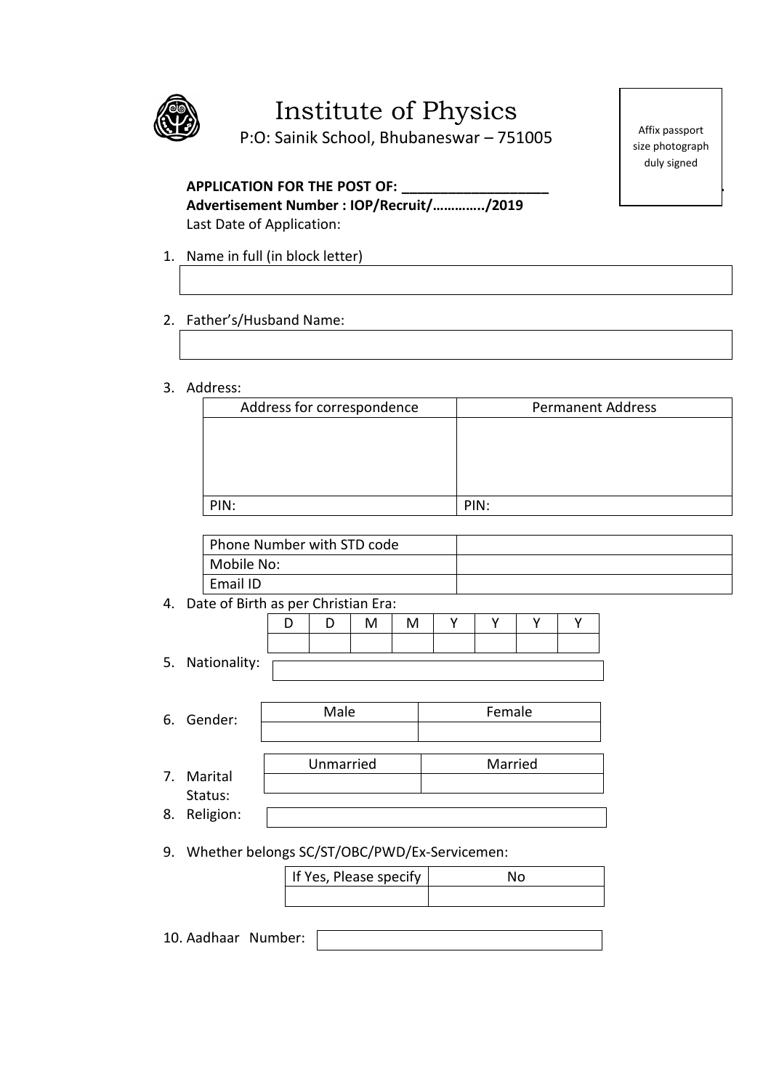

# Institute of Physics

P:O: Sainik School, Bhubaneswar – 751005

# APPLICATION FOR THE POST OF: \_\_\_\_\_\_\_\_\_\_\_\_\_\_\_

**Advertisement Number : IOP/Recruit/…………../2019** Last Date of Application:

- 1. Name in full (in block letter)
- 2. Father's/Husband Name:
- 3. Address:

| Address for correspondence | <b>Permanent Address</b> |
|----------------------------|--------------------------|
|                            |                          |
|                            |                          |
|                            |                          |
|                            |                          |
| PIN:                       | PIN:                     |

| Phone Number with STD code |  |
|----------------------------|--|
| Mobile No:                 |  |
| Email ID                   |  |

4. Date of Birth as per Christian Era:

|       | $1$ D $1$ M $1$ M |  | . I Y I Y I |  |
|-------|-------------------|--|-------------|--|
|       |                   |  |             |  |
| - - - |                   |  |             |  |

5. Nationality:

|    | 6. Gender: | Male      | Female  |
|----|------------|-----------|---------|
|    |            |           |         |
|    |            |           |         |
|    |            | Unmarried | Married |
|    | 7. Marital |           |         |
|    | Status:    |           |         |
| 8. | Religion:  |           |         |

9. Whether belongs SC/ST/OBC/PWD/Ex-Servicemen:

| If Yes, Please specify |  |
|------------------------|--|
|                        |  |

10. Aadhaar Number:

Affix passport size photograph duly signed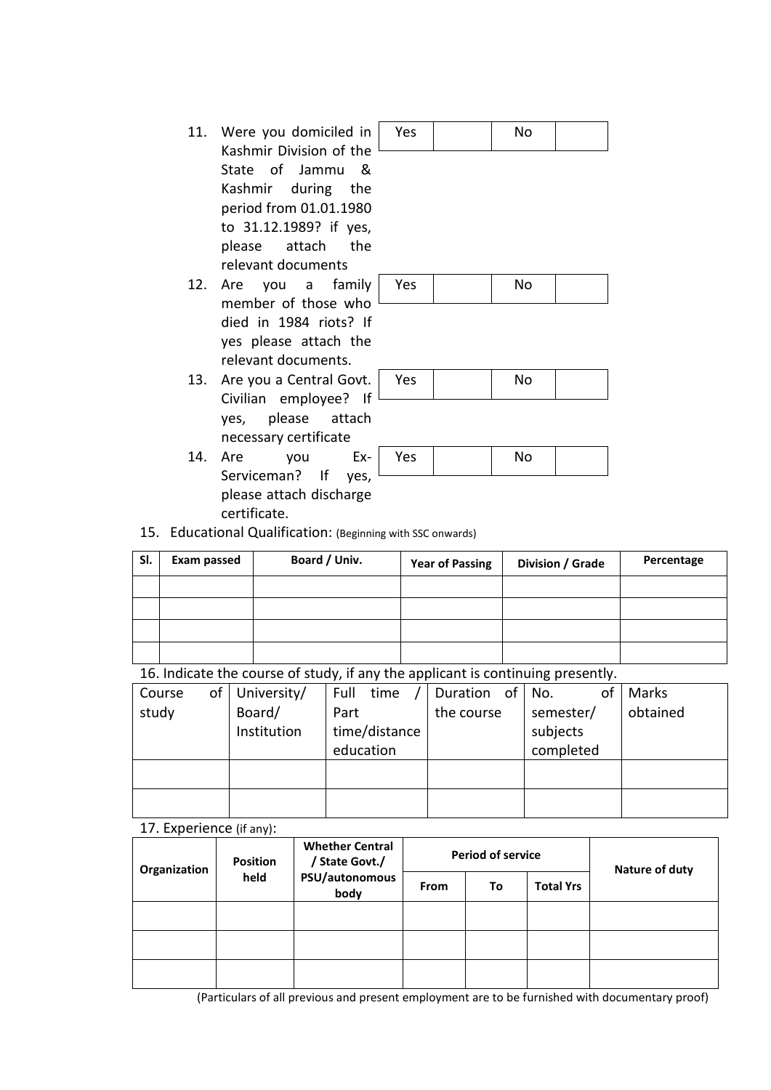- 11. Were you domiciled in Kashmir Division of the State of Jammu & Kashmir during the period from 01.01.1980 to 31.12.1989? if yes, please attach the relevant documents
- 12. Are you a family member of those who died in 1984 riots? If yes please attach the relevant documents.
- 13. Are you a Central Gov Civilian employee? yes, please attach necessary certificate
- 14. Are you Ex-Serviceman? If yes, please attach discharge certificate.

| Yes | No |  |
|-----|----|--|
|     |    |  |
|     |    |  |
|     |    |  |

| \ <i>i</i> - -<br>╌ |  |  |
|---------------------|--|--|
|---------------------|--|--|

| rt.<br>$\blacksquare$ | Yes | No |  |
|-----------------------|-----|----|--|
|                       |     |    |  |

| Ξ. | Yes | 8 I A<br>. |  |
|----|-----|------------|--|
|    |     |            |  |

15. Educational Qualification: (Beginning with SSC onwards)

| SI. | <b>Exam passed</b> | Board / Univ. | <b>Year of Passing</b> | Division / Grade | Percentage |
|-----|--------------------|---------------|------------------------|------------------|------------|
|     |                    |               |                        |                  |            |
|     |                    |               |                        |                  |            |
|     |                    |               |                        |                  |            |
|     |                    |               |                        |                  |            |

| 16. Indicate the course of study, if any the applicant is continuing presently. |  |  |  |
|---------------------------------------------------------------------------------|--|--|--|
|---------------------------------------------------------------------------------|--|--|--|

| οf<br>Course | University/ | Full time     | Duration of No. | of        | Marks    |
|--------------|-------------|---------------|-----------------|-----------|----------|
| study        | Board/      | Part          | the course      | semester/ | obtained |
|              | Institution | time/distance |                 | subjects  |          |
|              |             | education     |                 | completed |          |
|              |             |               |                 |           |          |
|              |             |               |                 |           |          |
|              |             |               |                 |           |          |

#### 17. Experience (if any):

| Organization | <b>Position</b> | <b>Whether Central</b><br>/ State Govt./ |             | <b>Period of service</b> | Nature of duty   |  |
|--------------|-----------------|------------------------------------------|-------------|--------------------------|------------------|--|
|              | held            | PSU/autonomous<br>body                   | <b>From</b> | To                       | <b>Total Yrs</b> |  |
|              |                 |                                          |             |                          |                  |  |
|              |                 |                                          |             |                          |                  |  |
|              |                 |                                          |             |                          |                  |  |

(Particulars of all previous and present employment are to be furnished with documentary proof)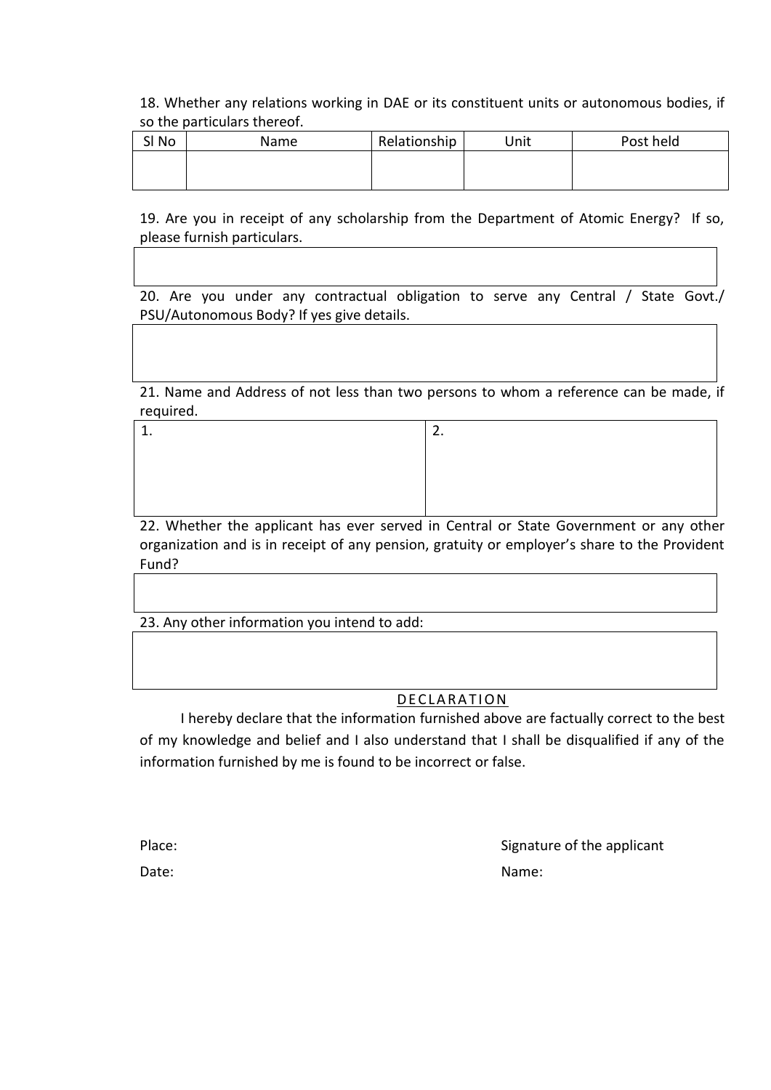18. Whether any relations working in DAE or its constituent units or autonomous bodies, if so the particulars thereof.

| SI No | Name | Relationship | Unit | Post held |
|-------|------|--------------|------|-----------|
|       |      |              |      |           |
|       |      |              |      |           |

19. Are you in receipt of any scholarship from the Department of Atomic Energy? If so, please furnish particulars.

20. Are you under any contractual obligation to serve any Central / State Govt./ PSU/Autonomous Body? If yes give details.

21. Name and Address of not less than two persons to whom a reference can be made, if required.

22. Whether the applicant has ever served in Central or State Government or any other organization and is in receipt of any pension, gratuity or employer's share to the Provident Fund?

23. Any other information you intend to add:

# DE CLARATION

I hereby declare that the information furnished above are factually correct to the best of my knowledge and belief and I also understand that I shall be disqualified if any of the information furnished by me is found to be incorrect or false.

Place: Place: Signature of the applicant Date: Name: Name: Name: Name: Name: Name: Name: Name: Name: Name: Name: Name: Name: Name: Name: Name: Name: Name: Name: Name: Name: Name: Name: Name: Name: Name: Name: Name: Name: Name: Name: Name: Name: Name: Name: Name: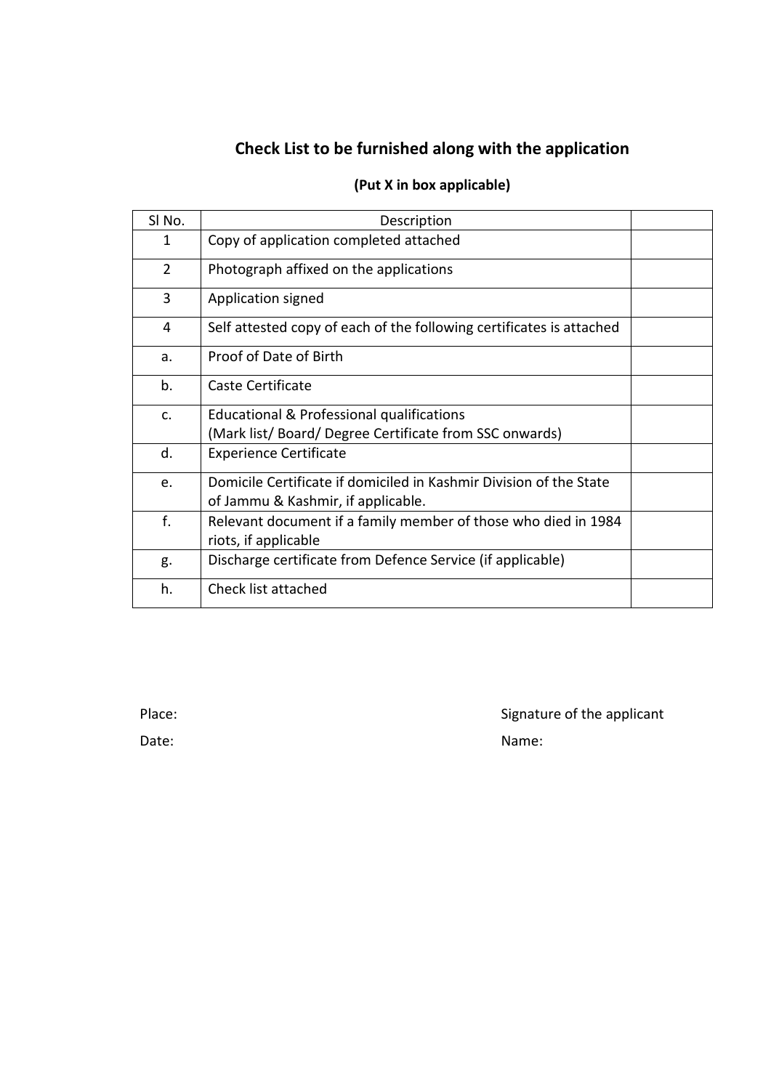# **Check List to be furnished along with the application**

# **(Put X in box applicable)**

| SI No.         | Description                                                                                              |  |
|----------------|----------------------------------------------------------------------------------------------------------|--|
| 1              | Copy of application completed attached                                                                   |  |
| $\overline{2}$ | Photograph affixed on the applications                                                                   |  |
| 3              | Application signed                                                                                       |  |
| 4              | Self attested copy of each of the following certificates is attached                                     |  |
| a.             | Proof of Date of Birth                                                                                   |  |
| b.             | Caste Certificate                                                                                        |  |
| c.             | Educational & Professional qualifications<br>(Mark list/Board/Degree Certificate from SSC onwards)       |  |
| d.             | <b>Experience Certificate</b>                                                                            |  |
| e.             | Domicile Certificate if domiciled in Kashmir Division of the State<br>of Jammu & Kashmir, if applicable. |  |
| f.             | Relevant document if a family member of those who died in 1984<br>riots, if applicable                   |  |
| g.             | Discharge certificate from Defence Service (if applicable)                                               |  |
| h.             | Check list attached                                                                                      |  |

Place: Place: Signature of the applicant Date: Name: Name: Name: Name: Name: Name: Name: Name: Name: Name: Name: Name: Name: Name: Name: Name: Name: Name: Name: Name: Name: Name: Name: Name: Name: Name: Name: Name: Name: Name: Name: Name: Name: Name: Name: Name: